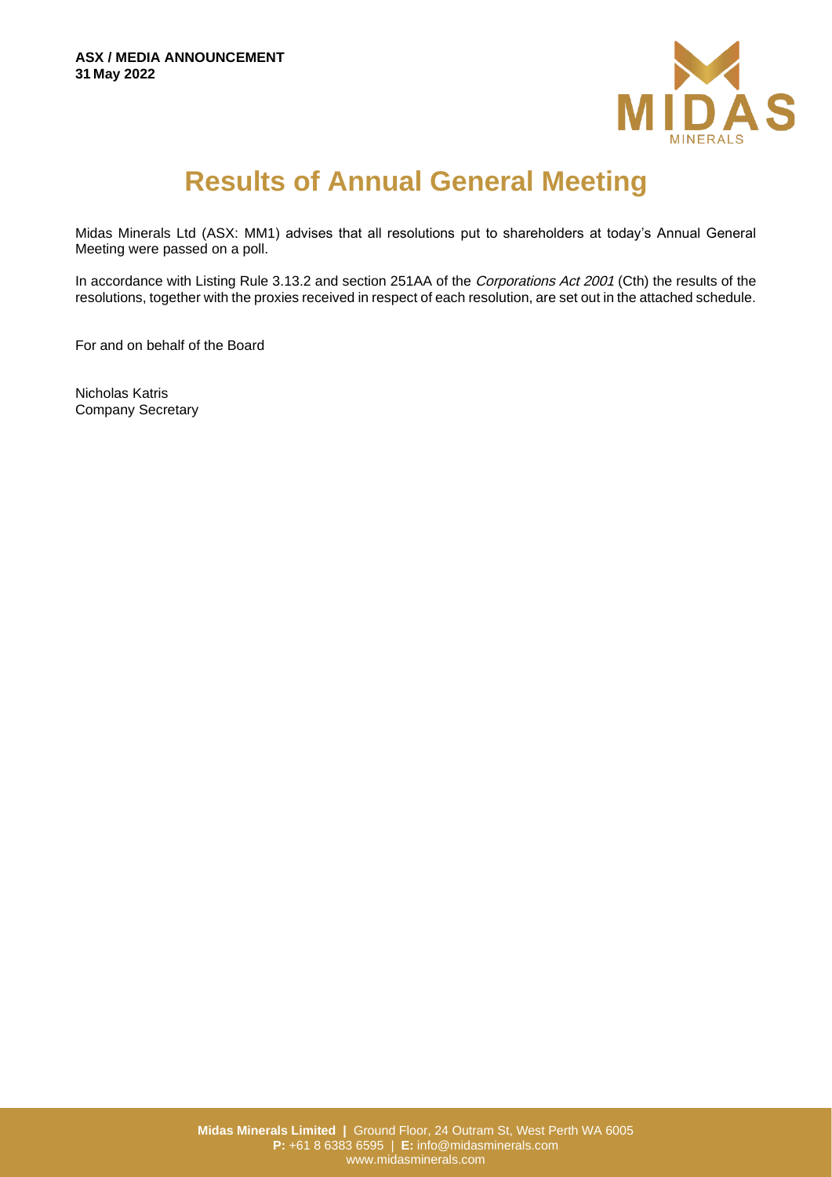

## **Results of Annual General Meeting**

Midas Minerals Ltd (ASX: MM1) advises that all resolutions put to shareholders at today's Annual General Meeting were passed on a poll.

In accordance with Listing Rule 3.13.2 and section 251AA of the Corporations Act 2001 (Cth) the results of the resolutions, together with the proxies received in respect of each resolution, are set out in the attached schedule.

For and on behalf of the Board

Nicholas Katris Company Secretary